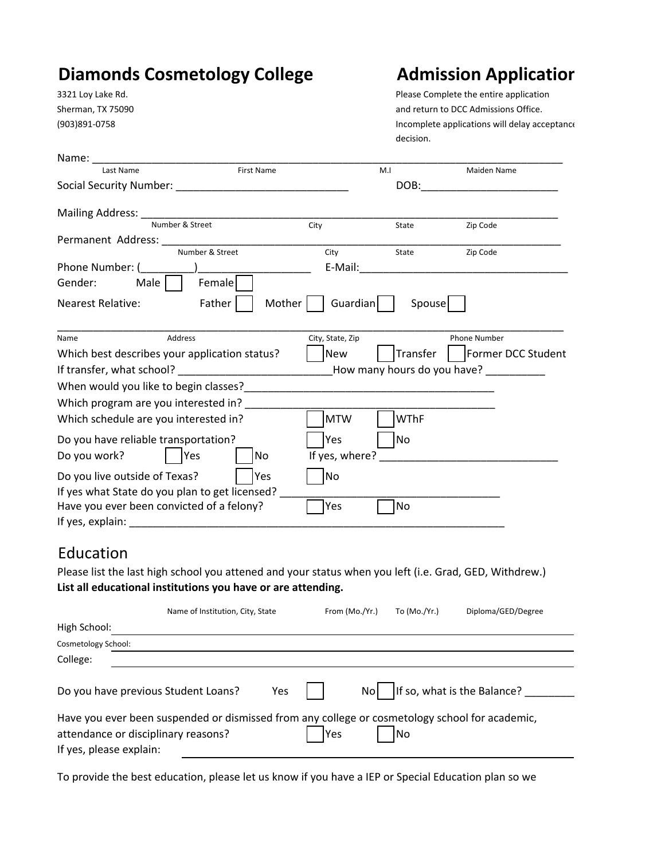# **Diamonds Cosmetology College Admission Application**

3321 Loy Lake Rd. Please Complete the entire application and the entire application Sherman, TX 75090 **and return to DCC Admissions Office.** And return to DCC Admissions Office. (903)891-0758 Incomplete applications will delay acceptance decision.

| Last Name                                                                                                       | <b>First Name</b> |                      | M.I         | Maiden Name         |
|-----------------------------------------------------------------------------------------------------------------|-------------------|----------------------|-------------|---------------------|
|                                                                                                                 |                   |                      | DOB:        |                     |
|                                                                                                                 |                   |                      |             |                     |
|                                                                                                                 | Number & Street   | City                 | State       | Zip Code            |
| Permanent Address: National Accounts and Accounts and Accounts and Accounts are also been accounted as a series |                   |                      |             |                     |
|                                                                                                                 | Number & Street   | City                 | State       | Zip Code            |
| Phone Number: (                                                                                                 |                   |                      |             |                     |
| Male  <br>Gender:                                                                                               | Female            |                      |             |                     |
| <b>Nearest Relative:</b>                                                                                        | Father            | Mother  <br>Guardian | Spouse      |                     |
| Name                                                                                                            | Address           | City, State, Zip     |             | <b>Phone Number</b> |
| Which best describes your application status?                                                                   |                   | <b>New</b>           | Transfer    | Former DCC Student  |
|                                                                                                                 |                   |                      |             |                     |
| When would you like to begin classes?                                                                           |                   |                      |             |                     |
| Which program are you interested in?                                                                            |                   |                      |             |                     |
| Which schedule are you interested in?                                                                           |                   | <b>MTW</b>           | <b>WThF</b> |                     |
|                                                                                                                 |                   |                      |             |                     |
| Do you have reliable transportation?                                                                            |                   | Yes                  | <b>No</b>   |                     |
| Do you work?                                                                                                    | <b>Yes</b><br>No  | If yes, where?       |             |                     |
| Do you live outside of Texas?                                                                                   | Yes               | <b>No</b>            |             |                     |
| If yes what State do you plan to get licensed?                                                                  |                   |                      |             |                     |
| Have you ever been convicted of a felony?                                                                       |                   | Yes                  | <b>No</b>   |                     |
|                                                                                                                 |                   |                      |             |                     |

## Education

Please list the last high school you attened and your status when you left (i.e. Grad, GED, Withdrew.) **List all educational institutions you have or are attending.** 

|                                                                | Name of Institution, City, State                                                               | From (Mo./Yr.) |     | To (Mo./Yr.) | Diploma/GED/Degree          |
|----------------------------------------------------------------|------------------------------------------------------------------------------------------------|----------------|-----|--------------|-----------------------------|
| High School:                                                   |                                                                                                |                |     |              |                             |
| Cosmetology School:                                            |                                                                                                |                |     |              |                             |
| College:                                                       |                                                                                                |                |     |              |                             |
| Do you have previous Student Loans?                            | Yes                                                                                            |                | Nol |              | If so, what is the Balance? |
| attendance or disciplinary reasons?<br>If yes, please explain: | Have you ever been suspended or dismissed from any college or cosmetology school for academic, | Yes            | lNo |              |                             |

To provide the best education, please let us know if you have a IEP or Special Education plan so we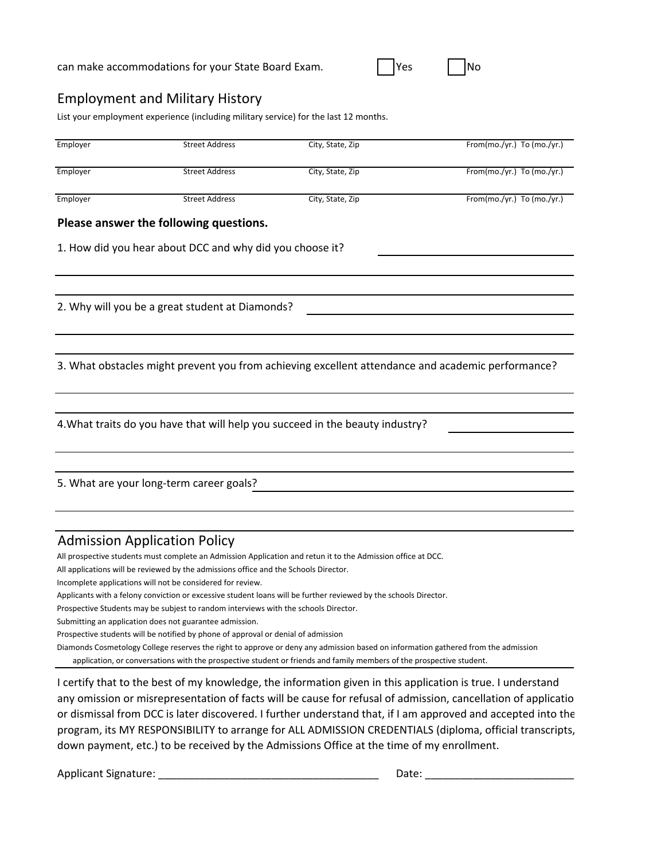### Employment and Military History

List your employment experience (including military service) for the last 12 months.

| Employer | <b>Street Address</b>                                                                | City, State, Zip                                                                                                 | From(mo./yr.) To (mo./yr.)                                                                        |
|----------|--------------------------------------------------------------------------------------|------------------------------------------------------------------------------------------------------------------|---------------------------------------------------------------------------------------------------|
| Employer | <b>Street Address</b>                                                                | City, State, Zip                                                                                                 | From(mo./yr.) To (mo./yr.)                                                                        |
| Employer | <b>Street Address</b>                                                                | City, State, Zip                                                                                                 | From(mo./yr.) To (mo./yr.)                                                                        |
|          | Please answer the following questions.                                               |                                                                                                                  |                                                                                                   |
|          | 1. How did you hear about DCC and why did you choose it?                             |                                                                                                                  |                                                                                                   |
|          |                                                                                      |                                                                                                                  |                                                                                                   |
|          | 2. Why will you be a great student at Diamonds?                                      |                                                                                                                  |                                                                                                   |
|          |                                                                                      |                                                                                                                  |                                                                                                   |
|          |                                                                                      |                                                                                                                  | 3. What obstacles might prevent you from achieving excellent attendance and academic performance? |
|          |                                                                                      |                                                                                                                  |                                                                                                   |
|          |                                                                                      | 4. What traits do you have that will help you succeed in the beauty industry?                                    |                                                                                                   |
|          |                                                                                      |                                                                                                                  |                                                                                                   |
|          | 5. What are your long-term career goals?                                             |                                                                                                                  |                                                                                                   |
|          |                                                                                      |                                                                                                                  |                                                                                                   |
|          | <b>Admission Application Policy</b>                                                  |                                                                                                                  |                                                                                                   |
|          |                                                                                      | All prospective students must complete an Admission Application and retun it to the Admission office at DCC.     |                                                                                                   |
|          | All applications will be reviewed by the admissions office and the Schools Director. |                                                                                                                  |                                                                                                   |
|          | Incomplete applications will not be considered for review.                           |                                                                                                                  |                                                                                                   |
|          |                                                                                      | Applicants with a felony conviction or excessive student loans will be further reviewed by the schools Director. |                                                                                                   |
|          | Prospective Students may be subjest to random interviews with the schools Director.  |                                                                                                                  |                                                                                                   |
|          | Submitting an application does not guarantee admission.                              |                                                                                                                  |                                                                                                   |
|          | Prospective students will be notified by phone of approval or denial of admission    |                                                                                                                  |                                                                                                   |

Diamonds Cosmetology College reserves the right to approve or deny any admission based on information gathered from the admission application, or conversations with the prospective student or friends and family members of the prospective student.

I certify that to the best of my knowledge, the information given in this application is true. I understand any omission or misrepresentation of facts will be cause for refusal of admission, cancellation of applicatio or dismissal from DCC is later discovered. I further understand that, if I am approved and accepted into the program, its MY RESPONSIBILITY to arrange for ALL ADMISSION CREDENTIALS (diploma, official transcripts, down payment, etc.) to be received by the Admissions Office at the time of my enrollment.

Applicant Signature: \_\_\_\_\_\_\_\_\_\_\_\_\_\_\_\_\_\_\_\_\_\_\_\_\_\_\_\_\_\_\_\_\_\_\_\_\_ Date: \_\_\_\_\_\_\_\_\_\_\_\_\_\_\_\_\_\_\_\_\_\_\_\_\_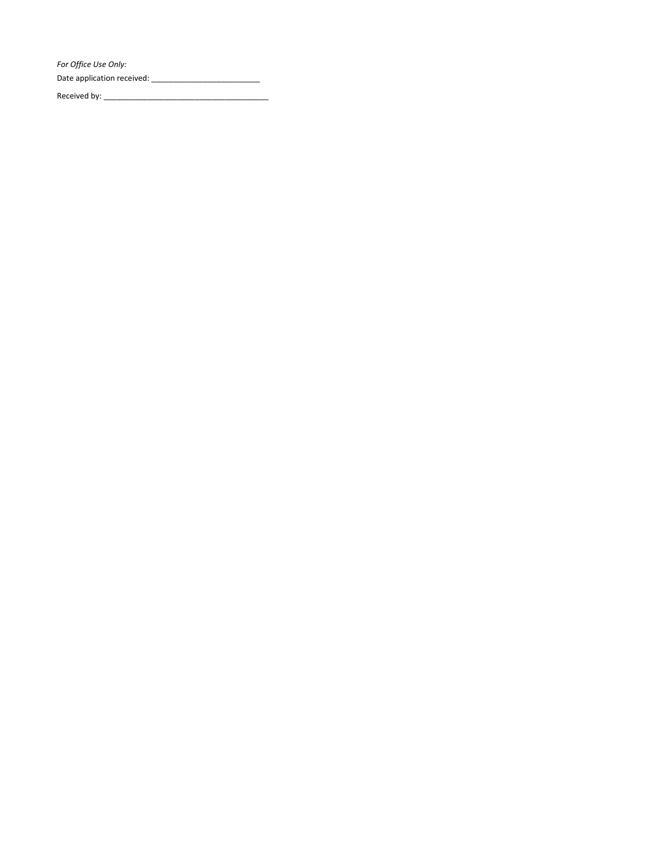*For Office Use Only:*  Date application received: \_\_\_\_\_\_\_\_\_\_\_\_\_\_\_\_\_\_\_\_\_\_\_\_\_

Received by: \_\_\_\_\_\_\_\_\_\_\_\_\_\_\_\_\_\_\_\_\_\_\_\_\_\_\_\_\_\_\_\_\_\_\_\_\_\_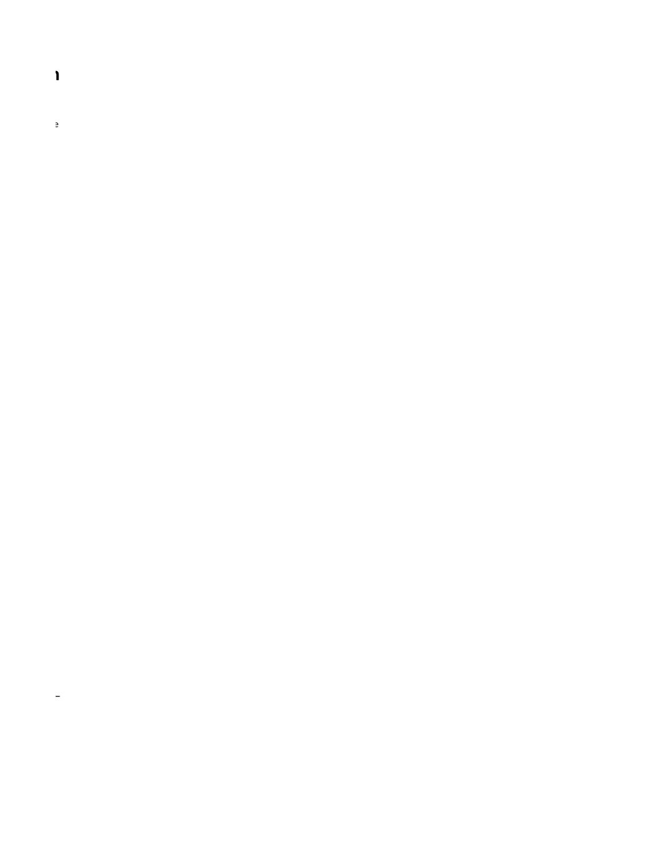$\begin{array}{c} \rule{0pt}{2.5ex} \rule{0pt}{2.5ex} \rule{0pt}{2.5ex} \rule{0pt}{2.5ex} \rule{0pt}{2.5ex} \rule{0pt}{2.5ex} \rule{0pt}{2.5ex} \rule{0pt}{2.5ex} \rule{0pt}{2.5ex} \rule{0pt}{2.5ex} \rule{0pt}{2.5ex} \rule{0pt}{2.5ex} \rule{0pt}{2.5ex} \rule{0pt}{2.5ex} \rule{0pt}{2.5ex} \rule{0pt}{2.5ex} \rule{0pt}{2.5ex} \rule{0pt}{2.5ex} \rule{0pt}{2.5ex} \rule{0$ 

 $\overline{e}$ 

 $\qquad \qquad -$